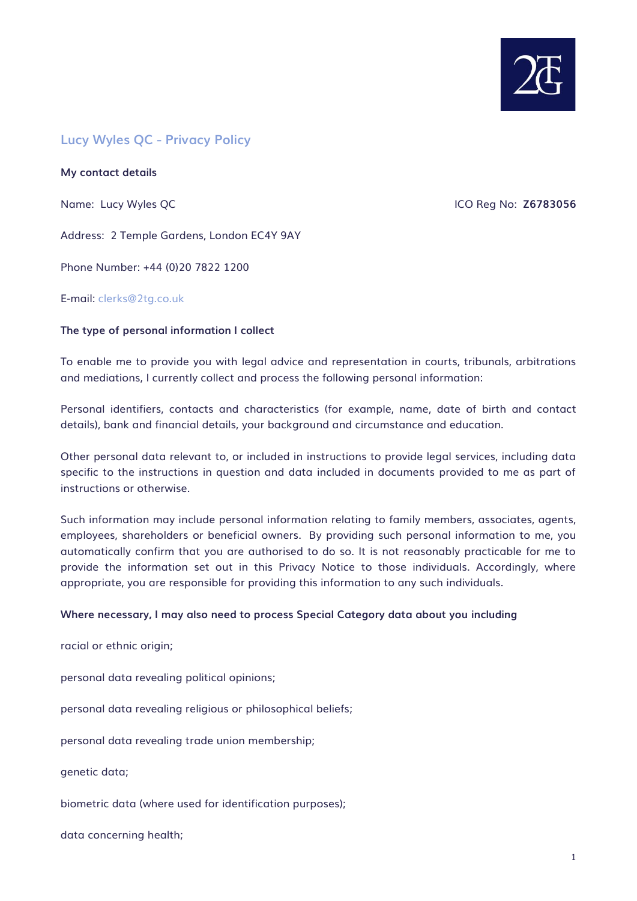

# **Lucy Wyles QC - Privacy Policy**

**My contact details** 

Name: Lucy Wyles QC **ICO Reg No: Z6783056** 

Address: 2 Temple Gardens, London EC4Y 9AY

Phone Number: +44 (0)20 7822 1200

E-mail: [clerks@2tg.co.uk](mailto:clerks@2tg.co.uk)

## **The type of personal information I collect**

To enable me to provide you with legal advice and representation in courts, tribunals, arbitrations and mediations, I currently collect and process the following personal information:

Personal identifiers, contacts and characteristics (for example, name, date of birth and contact details), bank and financial details, your background and circumstance and education.

Other personal data relevant to, or included in instructions to provide legal services, including data specific to the instructions in question and data included in documents provided to me as part of instructions or otherwise.

Such information may include personal information relating to family members, associates, agents, employees, shareholders or beneficial owners. By providing such personal information to me, you automatically confirm that you are authorised to do so. It is not reasonably practicable for me to provide the information set out in this Privacy Notice to those individuals. Accordingly, where appropriate, you are responsible for providing this information to any such individuals.

## **Where necessary, I may also need to process Special Category data about you including**

racial or ethnic origin;

personal data revealing political opinions;

personal data revealing religious or philosophical beliefs;

personal data revealing trade union membership;

genetic data;

biometric data (where used for identification purposes);

data concerning health;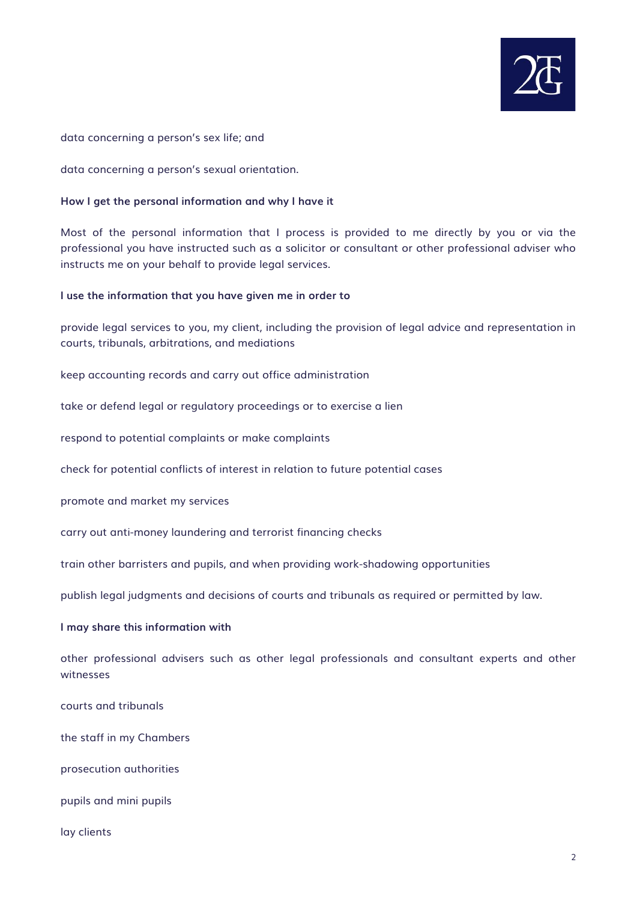

data concerning a person's sex life; and

data concerning a person's sexual orientation.

#### **How I get the personal information and why I have it**

Most of the personal information that I process is provided to me directly by you or via the professional you have instructed such as a solicitor or consultant or other professional adviser who instructs me on your behalf to provide legal services.

#### **I use the information that you have given me in order to**

provide legal services to you, my client, including the provision of legal advice and representation in courts, tribunals, arbitrations, and mediations

keep accounting records and carry out office administration

take or defend legal or regulatory proceedings or to exercise a lien

respond to potential complaints or make complaints

check for potential conflicts of interest in relation to future potential cases

promote and market my services

carry out anti-money laundering and terrorist financing checks

train other barristers and pupils, and when providing work-shadowing opportunities

publish legal judgments and decisions of courts and tribunals as required or permitted by law.

#### **I may share this information with**

other professional advisers such as other legal professionals and consultant experts and other witnesses

courts and tribunals

the staff in my Chambers

prosecution authorities

pupils and mini pupils

lay clients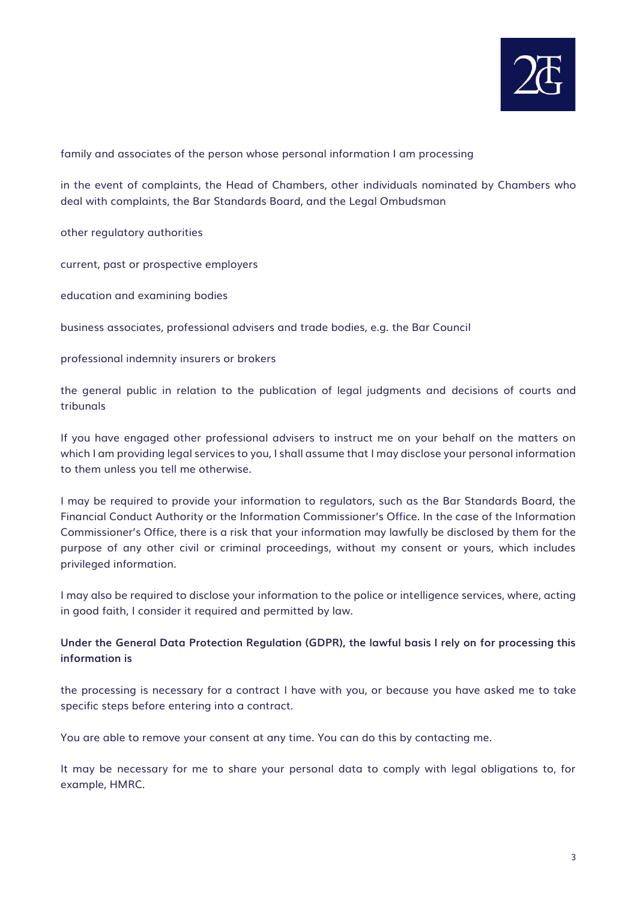

family and associates of the person whose personal information I am processing

in the event of complaints, the Head of Chambers, other individuals nominated by Chambers who deal with complaints, the Bar Standards Board, and the Legal Ombudsman

other regulatory authorities

current, past or prospective employers

education and examining bodies

business associates, professional advisers and trade bodies, e.g. the Bar Council

professional indemnity insurers or brokers

the general public in relation to the publication of legal judgments and decisions of courts and tribunals

If you have engaged other professional advisers to instruct me on your behalf on the matters on which I am providing legal services to you, I shall assume that I may disclose your personal information to them unless you tell me otherwise.

I may be required to provide your information to regulators, such as the Bar Standards Board, the Financial Conduct Authority or the Information Commissioner's Office. In the case of the Information Commissioner's Office, there is a risk that your information may lawfully be disclosed by them for the purpose of any other civil or criminal proceedings, without my consent or yours, which includes privileged information.

I may also be required to disclose your information to the police or intelligence services, where, acting in good faith, I consider it required and permitted by law.

# **Under the General Data Protection Regulation (GDPR), the lawful basis I rely on for processing this information is**

the processing is necessary for a contract I have with you, or because you have asked me to take specific steps before entering into a contract.

You are able to remove your consent at any time. You can do this by contacting me.

It may be necessary for me to share your personal data to comply with legal obligations to, for example, HMRC.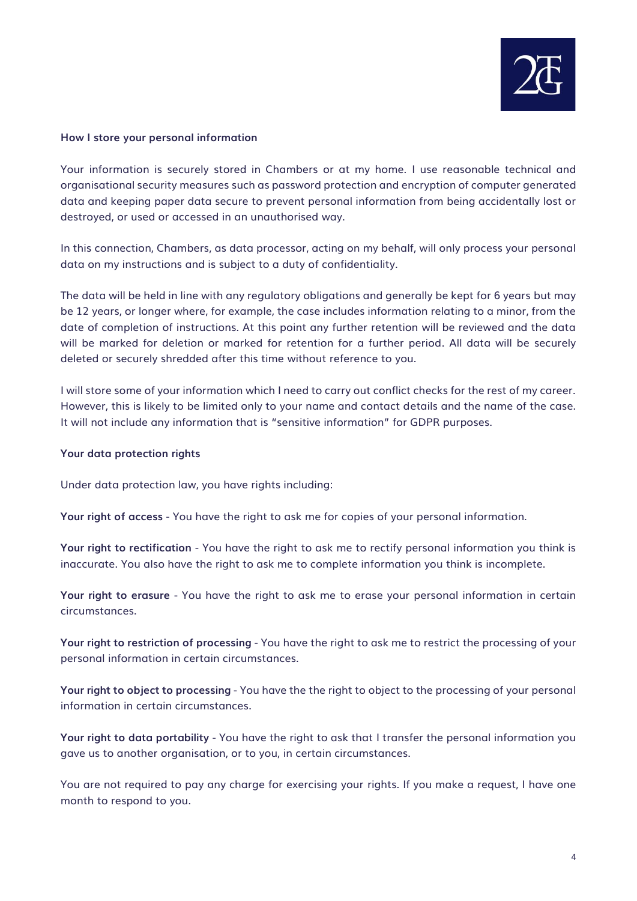

#### **How I store your personal information**

Your information is securely stored in Chambers or at my home. I use reasonable technical and organisational security measures such as password protection and encryption of computer generated data and keeping paper data secure to prevent personal information from being accidentally lost or destroyed, or used or accessed in an unauthorised way.

In this connection, Chambers, as data processor, acting on my behalf, will only process your personal data on my instructions and is subject to a duty of confidentiality.

The data will be held in line with any regulatory obligations and generally be kept for 6 years but may be 12 years, or longer where, for example, the case includes information relating to a minor, from the date of completion of instructions. At this point any further retention will be reviewed and the data will be marked for deletion or marked for retention for a further period. All data will be securely deleted or securely shredded after this time without reference to you.

I will store some of your information which I need to carry out conflict checks for the rest of my career. However, this is likely to be limited only to your name and contact details and the name of the case. It will not include any information that is "sensitive information" for GDPR purposes.

#### **Your data protection rights**

Under data protection law, you have rights including:

**Your right of access** - You have the right to ask me for copies of your personal information.

**Your right to rectification** - You have the right to ask me to rectify personal information you think is inaccurate. You also have the right to ask me to complete information you think is incomplete.

**Your right to erasure** - You have the right to ask me to erase your personal information in certain circumstances.

**Your right to restriction of processing** - You have the right to ask me to restrict the processing of your personal information in certain circumstances.

**Your right to object to processing** - You have the the right to object to the processing of your personal information in certain circumstances.

**Your right to data portability** - You have the right to ask that I transfer the personal information you gave us to another organisation, or to you, in certain circumstances.

You are not required to pay any charge for exercising your rights. If you make a request, I have one month to respond to you.